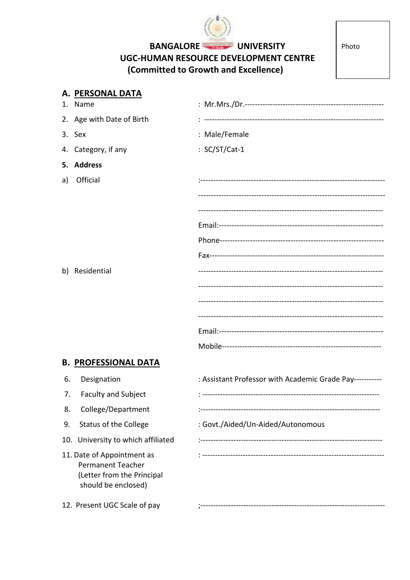

## BANGALORE UNIVERSITY UGC-HUMAN RESOURCE DEVELOPMENT CENTRE (Committed to Growth and Excellence)

Photo

|     | A. <u>PERSONAL DATA</u>                                                                                     |                                                          |
|-----|-------------------------------------------------------------------------------------------------------------|----------------------------------------------------------|
|     | 1. Name                                                                                                     |                                                          |
|     | 2. Age with Date of Birth                                                                                   |                                                          |
|     | 3. Sex                                                                                                      | : Male/Female                                            |
|     | 4. Category, if any                                                                                         | : SC/ST/Cat-1                                            |
|     | 5. Address                                                                                                  |                                                          |
| a)  | Official                                                                                                    |                                                          |
|     | b) Residential                                                                                              |                                                          |
|     | <b>B. PROFESSIONAL DATA</b>                                                                                 |                                                          |
| 6.  | Designation                                                                                                 | : Assistant Professor with Academic Grade Pay----------- |
| 7.  | <b>Faculty and Subject</b>                                                                                  |                                                          |
| 8.  | College/Department                                                                                          |                                                          |
| 9.  | <b>Status of the College</b>                                                                                | : Govt./Aided/Un-Aided/Autonomous                        |
| 10. | University to which affiliated                                                                              |                                                          |
|     | 11. Date of Appointment as<br><b>Permanent Teacher</b><br>(Letter from the Principal<br>should be enclosed) |                                                          |
|     | 12. Present UGC Scale of pay                                                                                |                                                          |